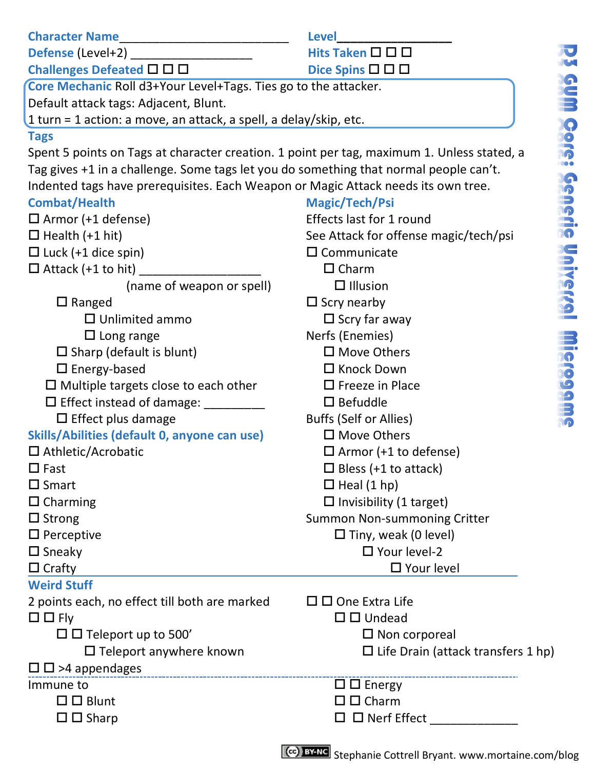| ı      |   |   |
|--------|---|---|
|        |   |   |
| ٦      |   |   |
| T      |   |   |
| n      |   |   |
| ٠      |   |   |
| m      |   |   |
| ń<br>٠ |   |   |
|        |   |   |
| п      |   |   |
| п      |   |   |
| ţ      |   |   |
|        |   |   |
| ٠      |   |   |
| í      |   |   |
| ٠      |   |   |
|        |   |   |
| n      |   |   |
| ٠      |   | ١ |
| ł      |   | í |
|        |   |   |
| t      |   |   |
|        |   |   |
| d      |   |   |
| ı      |   |   |
| ï      |   |   |
|        |   | ۱ |
|        |   |   |
|        |   |   |
| ۱      |   |   |
|        |   |   |
|        |   | i |
| n      |   |   |
|        |   |   |
|        |   |   |
| ł      |   |   |
| ï      |   |   |
| ٦      |   |   |
|        | ١ |   |
| ï      | ı |   |
|        |   |   |
|        |   |   |
| ٠      | Ì |   |
| ٠<br>٠ |   |   |
| î      |   |   |
| ı      |   |   |
| ١      |   |   |
| 1      |   |   |
|        |   |   |
|        |   |   |
|        |   |   |
|        |   |   |
|        |   |   |
|        | d |   |
| ţ<br>j |   | ۱ |

| <b>Character Name</b>                                                                      | Level                                     |  |  |
|--------------------------------------------------------------------------------------------|-------------------------------------------|--|--|
| Defense (Level+2)                                                                          | Hits Taken □ □ □                          |  |  |
| Challenges Defeated $\square \square \square$                                              | Dice Spins $\square \square \square$      |  |  |
| Core Mechanic Roll d3+Your Level+Tags. Ties go to the attacker.                            |                                           |  |  |
| Default attack tags: Adjacent, Blunt.                                                      |                                           |  |  |
| 1 turn = 1 action: a move, an attack, a spell, a delay/skip, etc.                          |                                           |  |  |
| <b>Tags</b>                                                                                |                                           |  |  |
| Spent 5 points on Tags at character creation. 1 point per tag, maximum 1. Unless stated, a |                                           |  |  |
| Tag gives +1 in a challenge. Some tags let you do something that normal people can't.      |                                           |  |  |
| Indented tags have prerequisites. Each Weapon or Magic Attack needs its own tree.          |                                           |  |  |
| <b>Combat/Health</b>                                                                       | Magic/Tech/Psi                            |  |  |
| $\Box$ Armor (+1 defense)                                                                  | Effects last for 1 round                  |  |  |
| $\Box$ Health (+1 hit)                                                                     | See Attack for offense magic/tech/psi     |  |  |
| $\Box$ Luck (+1 dice spin)                                                                 | $\square$ Communicate                     |  |  |
| $\Box$ Attack (+1 to hit)                                                                  | $\Box$ Charm                              |  |  |
| (name of weapon or spell)                                                                  | $\Box$ Illusion                           |  |  |
| $\Box$ Ranged                                                                              | $\Box$ Scry nearby                        |  |  |
| $\Box$ Unlimited ammo                                                                      | $\Box$ Scry far away                      |  |  |
| $\Box$ Long range                                                                          | Nerfs (Enemies)                           |  |  |
| $\Box$ Sharp (default is blunt)                                                            | □ Move Others                             |  |  |
| □ Energy-based                                                                             | □ Knock Down                              |  |  |
| $\square$ Multiple targets close to each other                                             | $\Box$ Freeze in Place                    |  |  |
| $\Box$ Effect instead of damage:                                                           | $\square$ Befuddle                        |  |  |
| $\Box$ Effect plus damage                                                                  | Buffs (Self or Allies)                    |  |  |
| Skills/Abilities (default 0, anyone can use)                                               | □ Move Others                             |  |  |
| □ Athletic/Acrobatic                                                                       | $\Box$ Armor (+1 to defense)              |  |  |
| $\square$ Fast                                                                             | $\Box$ Bless (+1 to attack)               |  |  |
| $\square$ Smart                                                                            | $\Box$ Heal (1 hp)                        |  |  |
| $\Box$ Charming                                                                            | $\Box$ Invisibility (1 target)            |  |  |
| $\Box$ Strong                                                                              | Summon Non-summoning Critter              |  |  |
| $\square$ Perceptive                                                                       | $\Box$ Tiny, weak (0 level)               |  |  |
| $\square$ Sneaky                                                                           | $\Box$ Your level-2                       |  |  |
| $\Box$ Crafty                                                                              | $\Box$ Your level                         |  |  |
| <b>Weird Stuff</b>                                                                         |                                           |  |  |
| 2 points each, no effect till both are marked                                              | $\square \square$ One Extra Life          |  |  |
| $\Box$ $\Box$ Fly                                                                          | $\square$ $\square$ Undead                |  |  |
| $\Box$ $\Box$ Teleport up to 500'                                                          | $\square$ Non corporeal                   |  |  |
| $\Box$ Teleport anywhere known                                                             | $\Box$ Life Drain (attack transfers 1 hp) |  |  |
| $\Box$ $\Box$ >4 appendages                                                                |                                           |  |  |
| Immune to                                                                                  | $\Box$ $\Box$ Energy                      |  |  |
| $\Box$ $\Box$ Blunt                                                                        | $\square$ $\square$ Charm                 |  |  |
| $\Box$ $\Box$ Sharp                                                                        | $\square$ $\square$ Nerf Effect ______    |  |  |
|                                                                                            |                                           |  |  |